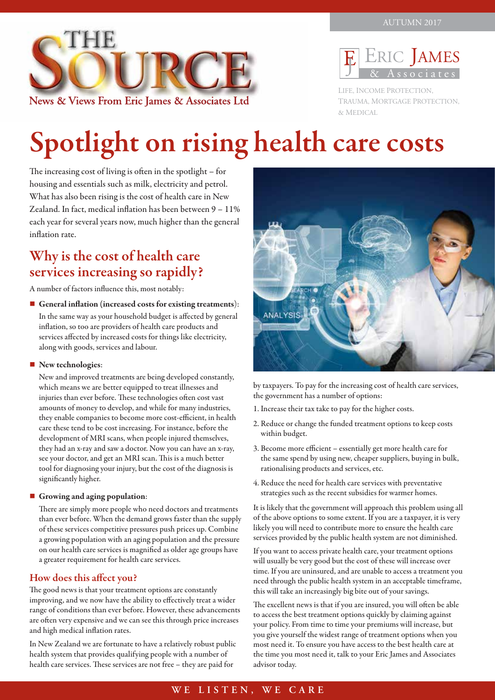



LIFE, INCOME PROTECTION, TRAUMA, MORTGAGE PROTECTION, & MEDICAL

# Spotlight on rising health care costs

The increasing cost of living is often in the spotlight – for housing and essentials such as milk, electricity and petrol. What has also been rising is the cost of health care in New Zealand. In fact, medical inflation has been between 9 – 11% each year for several years now, much higher than the general inflation rate.

### Why is the cost of health care services increasing so rapidly?

A number of factors influence this, most notably:

General inflation (increased costs for existing treatments): In the same way as your household budget is affected by general inflation, so too are providers of health care products and services affected by increased costs for things like electricity, along with goods, services and labour.

### $\blacksquare$  New technologies:

New and improved treatments are being developed constantly, which means we are better equipped to treat illnesses and injuries than ever before. These technologies often cost vast amounts of money to develop, and while for many industries, they enable companies to become more cost-efficient, in health care these tend to be cost increasing. For instance, before the development of MRI scans, when people injured themselves, they had an x-ray and saw a doctor. Now you can have an x-ray, see your doctor, and get an MRI scan. This is a much better tool for diagnosing your injury, but the cost of the diagnosis is significantly higher.

### $\blacksquare$  Growing and aging population:

There are simply more people who need doctors and treatments than ever before. When the demand grows faster than the supply of these services competitive pressures push prices up. Combine a growing population with an aging population and the pressure on our health care services is magnified as older age groups have a greater requirement for health care services.

### How does this affect you?

The good news is that your treatment options are constantly improving, and we now have the ability to effectively treat a wider range of conditions than ever before. However, these advancements are often very expensive and we can see this through price increases and high medical inflation rates.

In New Zealand we are fortunate to have a relatively robust public health system that provides qualifying people with a number of health care services. These services are not free – they are paid for



by taxpayers. To pay for the increasing cost of health care services, the government has a number of options:

- 1. Increase their tax take to pay for the higher costs.
- 2. Reduce or change the funded treatment options to keep costs within budget.
- 3. Become more efficient essentially get more health care for the same spend by using new, cheaper suppliers, buying in bulk, rationalising products and services, etc.
- 4. Reduce the need for health care services with preventative strategies such as the recent subsidies for warmer homes.

It is likely that the government will approach this problem using all of the above options to some extent. If you are a taxpayer, it is very likely you will need to contribute more to ensure the health care services provided by the public health system are not diminished.

If you want to access private health care, your treatment options will usually be very good but the cost of these will increase over time. If you are uninsured, and are unable to access a treatment you need through the public health system in an acceptable timeframe, this will take an increasingly big bite out of your savings.

The excellent news is that if you are insured, you will often be able to access the best treatment options quickly by claiming against your policy. From time to time your premiums will increase, but you give yourself the widest range of treatment options when you most need it. To ensure you have access to the best health care at the time you most need it, talk to your Eric James and Associates advisor today.

### **WE LISTEN, WE CARE**